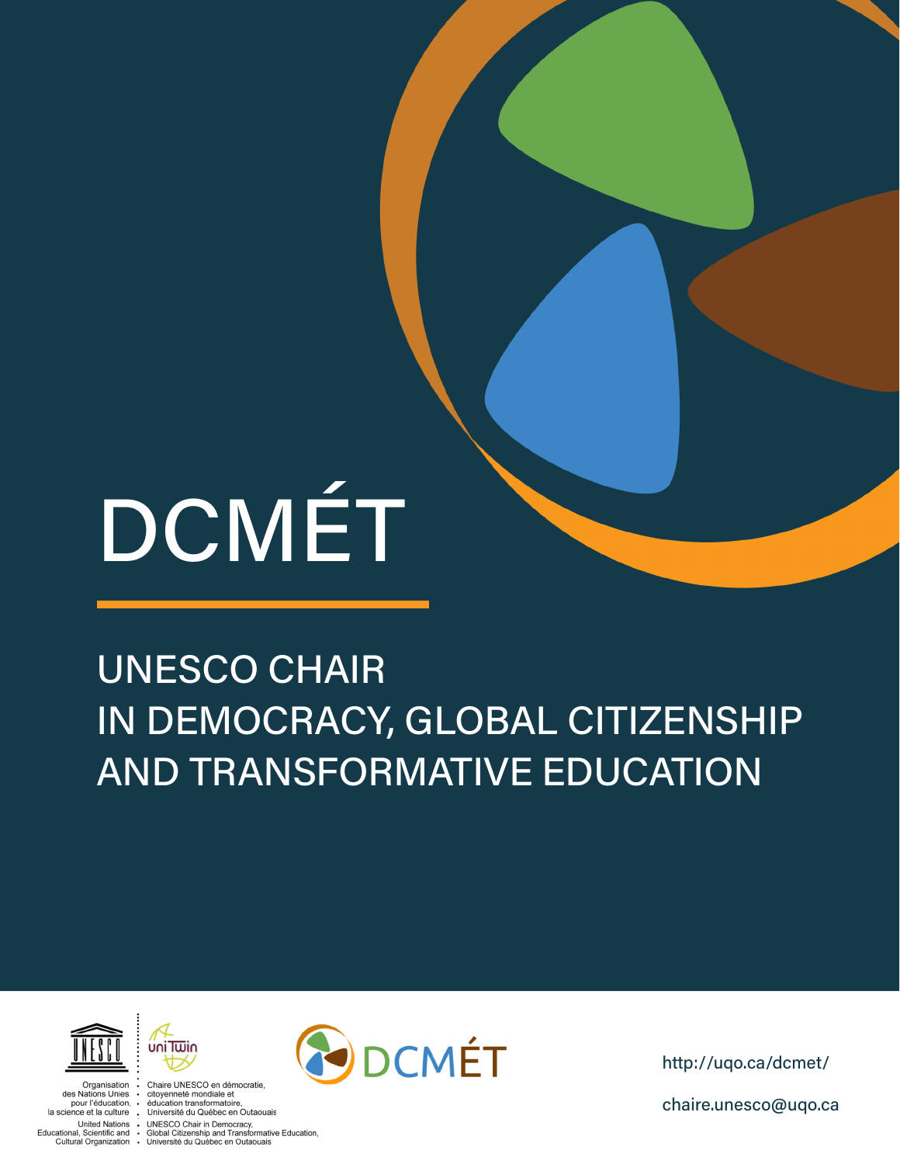# DCMÉT

## UNESCO CHAIR IN DEMOCRACY, GLOBAL CITIZENSHIP AND TRANSFORMATIVE EDUCATION



Organisation des Nations Unies<br>pour l'éducation, la science et la culture .



uni Twin

United Nations <br>
UNESCO Chair in Democracy,<br>
Educational, Scientific and 
Global Citizenship and Transformative Education,<br>
Cultural Organization Université du Québec en Outaouais



http://uqo.ca/dcmet/

chaire.unesco@uqo.ca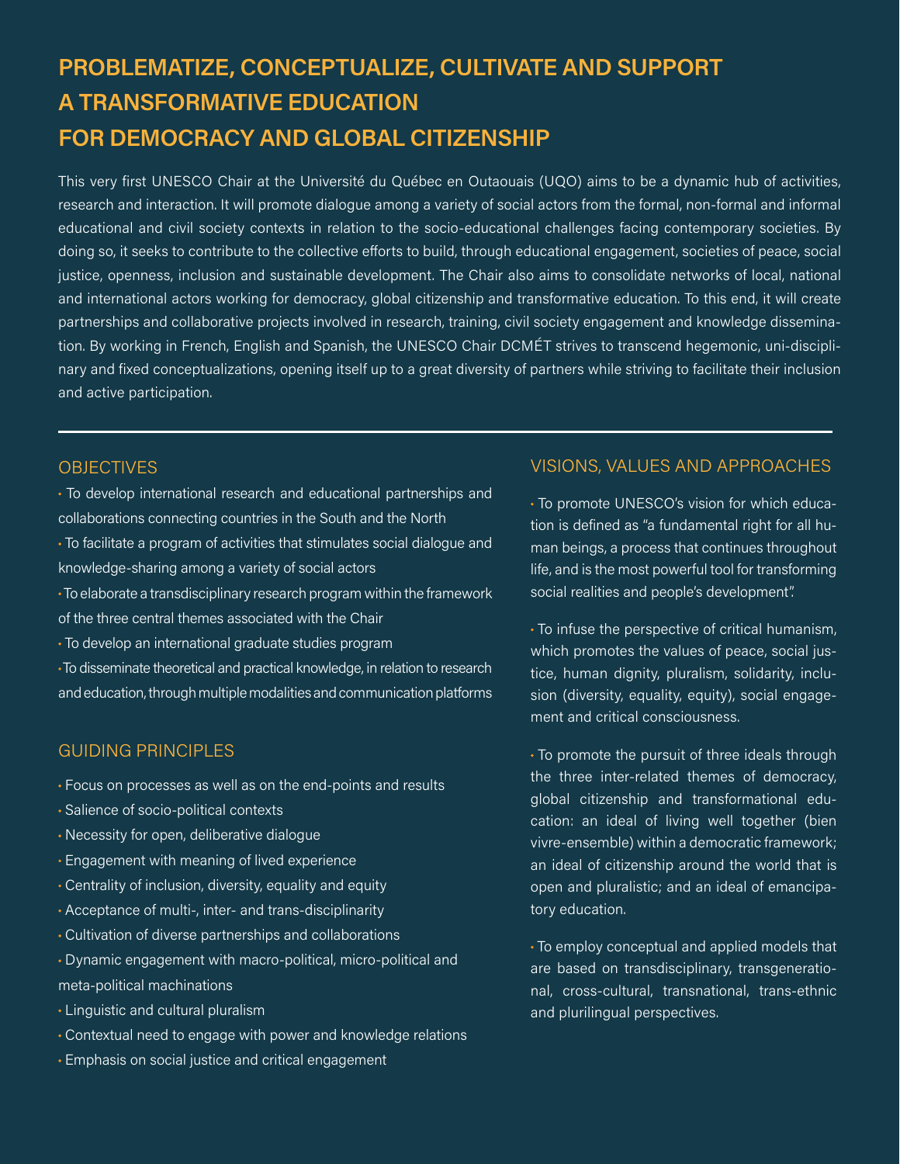### **PROBLEMATIZE, CONCEPTUALIZE, CULTIVATE AND SUPPORT A TRANSFORMATIVE EDUCATION FOR DEMOCRACY AND GLOBAL CITIZENSHIP**

This very first UNESCO Chair at the Université du Québec en Outaouais (UQO) aims to be a dynamic hub of activities, research and interaction. It will promote dialogue among a variety of social actors from the formal, non-formal and informal educational and civil society contexts in relation to the socio-educational challenges facing contemporary societies. By doing so, it seeks to contribute to the collective efforts to build, through educational engagement, societies of peace, social justice, openness, inclusion and sustainable development. The Chair also aims to consolidate networks of local, national and international actors working for democracy, global citizenship and transformative education. To this end, it will create partnerships and collaborative projects involved in research, training, civil society engagement and knowledge dissemination. By working in French, English and Spanish, the UNESCO Chair DCMÉT strives to transcend hegemonic, uni-disciplinary and fixed conceptualizations, opening itself up to a great diversity of partners while striving to facilitate their inclusion and active participation.

#### **OBJECTIVES**

- To develop international research and educational partnerships and collaborations connecting countries in the South and the North
- To facilitate a program of activities that stimulates social dialogue and knowledge-sharing among a variety of social actors
- To elaborate a transdisciplinary research program within the framework of the three central themes associated with the Chair
- To develop an international graduate studies program
- To disseminate theoretical and practical knowledge, in relation to research and education, through multiple modalities and communication platforms

#### GUIDING PRINCIPLES

- Focus on processes as well as on the end-points and results
- Salience of socio-political contexts
- Necessity for open, deliberative dialogue
- Engagement with meaning of lived experience
- Centrality of inclusion, diversity, equality and equity
- Acceptance of multi-, inter- and trans-disciplinarity
- Cultivation of diverse partnerships and collaborations
- Dynamic engagement with macro-political, micro-political and meta-political machinations
- Linguistic and cultural pluralism
- Contextual need to engage with power and knowledge relations
- Emphasis on social justice and critical engagement

#### VISIONS, VALUES AND APPROACHES

To promote UNESCO's vision for which education is defined as "a fundamental right for all human beings, a process that continues throughout life, and is the most powerful tool for transforming social realities and people's development".

To infuse the perspective of critical humanism, which promotes the values of peace, social justice, human dignity, pluralism, solidarity, inclusion (diversity, equality, equity), social engagement and critical consciousness.

To promote the pursuit of three ideals through the three inter-related themes of democracy, global citizenship and transformational education: an ideal of living well together (bien vivre-ensemble) within a democratic framework; an ideal of citizenship around the world that is open and pluralistic; and an ideal of emancipatory education.

To employ conceptual and applied models that are based on transdisciplinary, transgenerational, cross-cultural, transnational, trans-ethnic and plurilingual perspectives.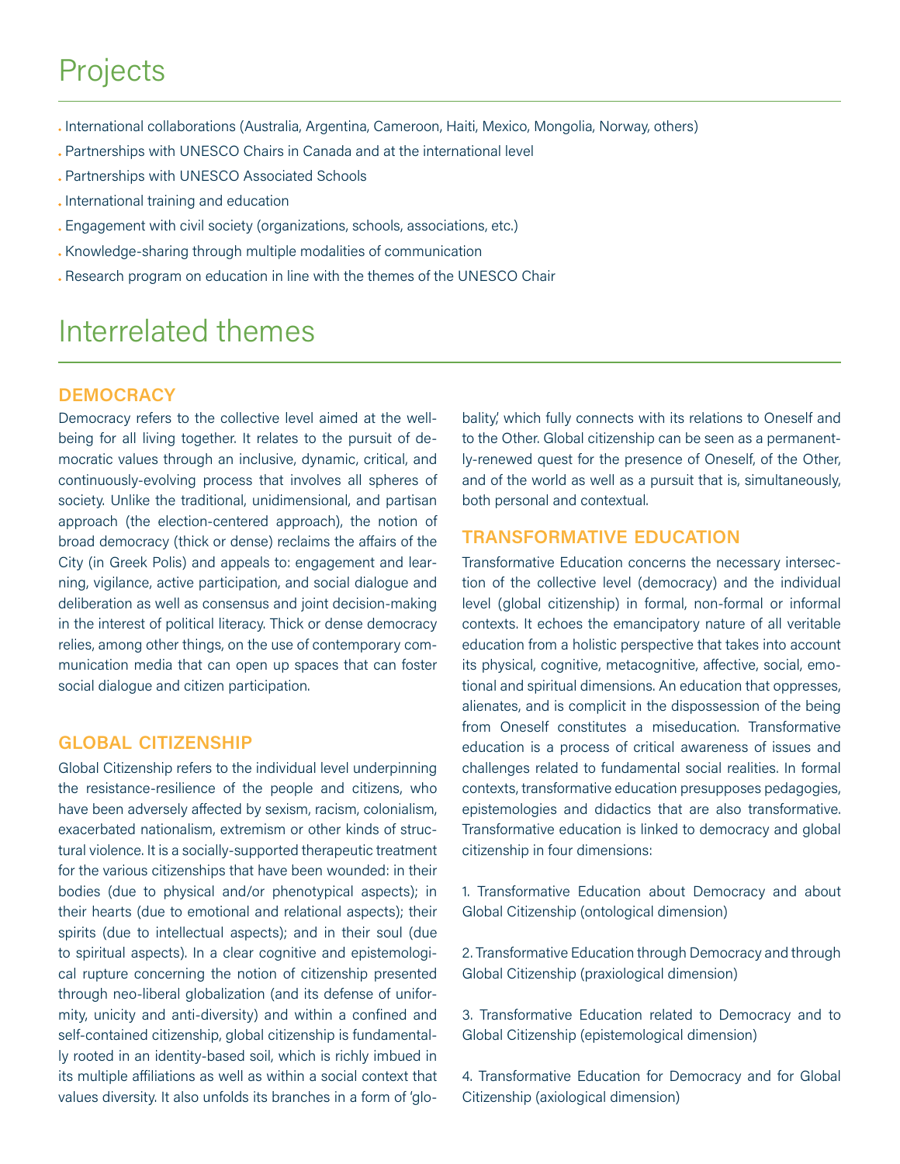## Projects

- International collaborations (Australia, Argentina, Cameroon, Haiti, Mexico, Mongolia, Norway, others)
- Partnerships with UNESCO Chairs in Canada and at the international level
- Partnerships with UNESCO Associated Schools
- . International training and education
- Engagement with civil society (organizations, schools, associations, etc.)
- Knowledge-sharing through multiple modalities of communication
- Research program on education in line with the themes of the UNESCO Chair

## Interrelated themes

#### **democracy**

Democracy refers to the collective level aimed at the wellbeing for all living together. It relates to the pursuit of democratic values through an inclusive, dynamic, critical, and continuously-evolving process that involves all spheres of society. Unlike the traditional, unidimensional, and partisan approach (the election-centered approach), the notion of broad democracy (thick or dense) reclaims the affairs of the City (in Greek Polis) and appeals to: engagement and learning, vigilance, active participation, and social dialogue and deliberation as well as consensus and joint decision-making in the interest of political literacy. Thick or dense democracy relies, among other things, on the use of contemporary communication media that can open up spaces that can foster social dialogue and citizen participation.

#### **global citizenship**

Global Citizenship refers to the individual level underpinning the resistance-resilience of the people and citizens, who have been adversely affected by sexism, racism, colonialism, exacerbated nationalism, extremism or other kinds of structural violence. It is a socially-supported therapeutic treatment for the various citizenships that have been wounded: in their bodies (due to physical and/or phenotypical aspects); in their hearts (due to emotional and relational aspects); their spirits (due to intellectual aspects); and in their soul (due to spiritual aspects). In a clear cognitive and epistemological rupture concerning the notion of citizenship presented through neo-liberal globalization (and its defense of uniformity, unicity and anti-diversity) and within a confined and self-contained citizenship, global citizenship is fundamentally rooted in an identity-based soil, which is richly imbued in its multiple affiliations as well as within a social context that values diversity. It also unfolds its branches in a form of 'globality,' which fully connects with its relations to Oneself and to the Other. Global citizenship can be seen as a permanently-renewed quest for the presence of Oneself, of the Other, and of the world as well as a pursuit that is, simultaneously, both personal and contextual.

#### **transformative education**

Transformative Education concerns the necessary intersection of the collective level (democracy) and the individual level (global citizenship) in formal, non-formal or informal contexts. It echoes the emancipatory nature of all veritable education from a holistic perspective that takes into account its physical, cognitive, metacognitive, affective, social, emotional and spiritual dimensions. An education that oppresses, alienates, and is complicit in the dispossession of the being from Oneself constitutes a miseducation. Transformative education is a process of critical awareness of issues and challenges related to fundamental social realities. In formal contexts, transformative education presupposes pedagogies, epistemologies and didactics that are also transformative. Transformative education is linked to democracy and global citizenship in four dimensions:

1. Transformative Education about Democracy and about Global Citizenship (ontological dimension)

2. Transformative Education through Democracy and through Global Citizenship (praxiological dimension)

3. Transformative Education related to Democracy and to Global Citizenship (epistemological dimension)

4. Transformative Education for Democracy and for Global Citizenship (axiological dimension)